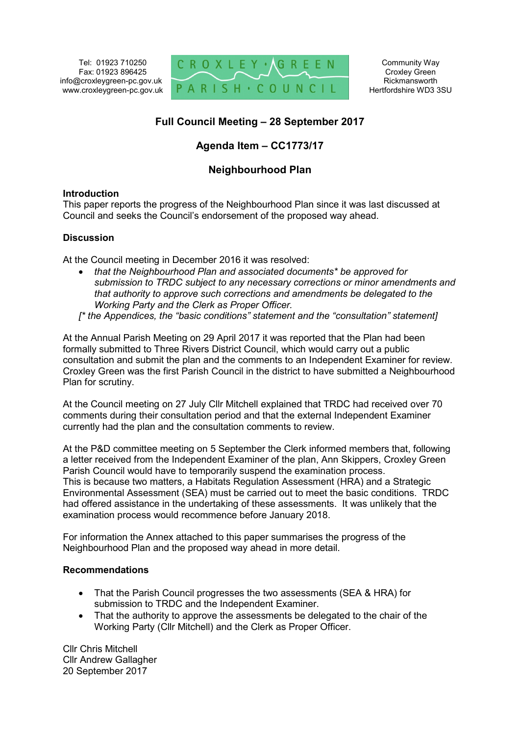Tel: 01923 710250 Fax: 01923 896425 info@croxleygreen-pc.gov.uk www.croxleygreen-pc.gov.uk



Community Way Croxley Green Rickmansworth Hertfordshire WD3 3SU

# **Full Council Meeting – 28 September 2017**

## **Agenda Item – CC1773/17**

## **Neighbourhood Plan**

### **Introduction**

This paper reports the progress of the Neighbourhood Plan since it was last discussed at Council and seeks the Council's endorsement of the proposed way ahead.

### **Discussion**

At the Council meeting in December 2016 it was resolved:

- *that the Neighbourhood Plan and associated documents\* be approved for submission to TRDC subject to any necessary corrections or minor amendments and that authority to approve such corrections and amendments be delegated to the Working Party and the Clerk as Proper Officer.*
- *[\* the Appendices, the "basic conditions" statement and the "consultation" statement]*

At the Annual Parish Meeting on 29 April 2017 it was reported that the Plan had been formally submitted to Three Rivers District Council, which would carry out a public consultation and submit the plan and the comments to an Independent Examiner for review. Croxley Green was the first Parish Council in the district to have submitted a Neighbourhood Plan for scrutiny.

At the Council meeting on 27 July Cllr Mitchell explained that TRDC had received over 70 comments during their consultation period and that the external Independent Examiner currently had the plan and the consultation comments to review.

At the P&D committee meeting on 5 September the Clerk informed members that, following a letter received from the Independent Examiner of the plan, Ann Skippers, Croxley Green Parish Council would have to temporarily suspend the examination process. This is because two matters, a Habitats Regulation Assessment (HRA) and a Strategic Environmental Assessment (SEA) must be carried out to meet the basic conditions. TRDC had offered assistance in the undertaking of these assessments. It was unlikely that the examination process would recommence before January 2018.

For information the Annex attached to this paper summarises the progress of the Neighbourhood Plan and the proposed way ahead in more detail.

### **Recommendations**

- That the Parish Council progresses the two assessments (SEA & HRA) for submission to TRDC and the Independent Examiner.
- That the authority to approve the assessments be delegated to the chair of the Working Party (Cllr Mitchell) and the Clerk as Proper Officer.

Cllr Chris Mitchell Cllr Andrew Gallagher 20 September 2017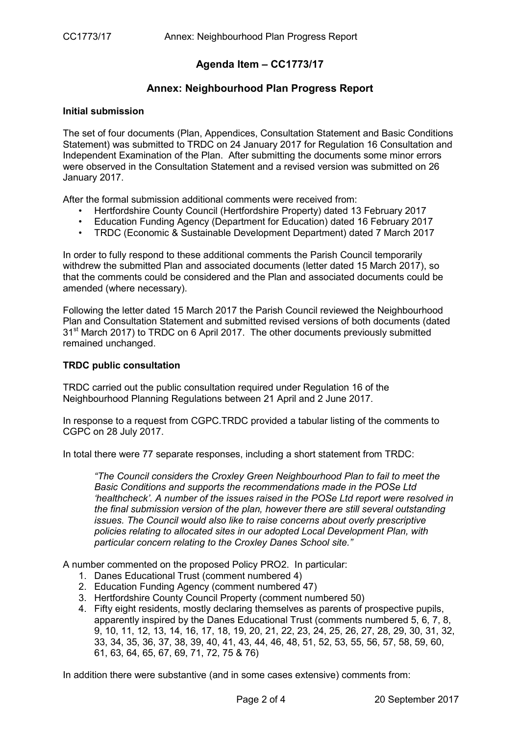## **Agenda Item – CC1773/17**

### **Annex: Neighbourhood Plan Progress Report**

### **Initial submission**

The set of four documents (Plan, Appendices, Consultation Statement and Basic Conditions Statement) was submitted to TRDC on 24 January 2017 for Regulation 16 Consultation and Independent Examination of the Plan. After submitting the documents some minor errors were observed in the Consultation Statement and a revised version was submitted on 26 January 2017.

After the formal submission additional comments were received from:

- Hertfordshire County Council (Hertfordshire Property) dated 13 February 2017
- Education Funding Agency (Department for Education) dated 16 February 2017
- TRDC (Economic & Sustainable Development Department) dated 7 March 2017

In order to fully respond to these additional comments the Parish Council temporarily withdrew the submitted Plan and associated documents (letter dated 15 March 2017), so that the comments could be considered and the Plan and associated documents could be amended (where necessary).

Following the letter dated 15 March 2017 the Parish Council reviewed the Neighbourhood Plan and Consultation Statement and submitted revised versions of both documents (dated 31<sup>st</sup> March 2017) to TRDC on 6 April 2017. The other documents previously submitted remained unchanged.

### **TRDC public consultation**

TRDC carried out the public consultation required under Regulation 16 of the Neighbourhood Planning Regulations between 21 April and 2 June 2017.

In response to a request from CGPC.TRDC provided a tabular listing of the comments to CGPC on 28 July 2017.

In total there were 77 separate responses, including a short statement from TRDC:

*"The Council considers the Croxley Green Neighbourhood Plan to fail to meet the Basic Conditions and supports the recommendations made in the POSe Ltd 'healthcheck'. A number of the issues raised in the POSe Ltd report were resolved in the final submission version of the plan, however there are still several outstanding issues. The Council would also like to raise concerns about overly prescriptive policies relating to allocated sites in our adopted Local Development Plan, with particular concern relating to the Croxley Danes School site."* 

A number commented on the proposed Policy PRO2. In particular:

- 1. Danes Educational Trust (comment numbered 4)
- 2. Education Funding Agency (comment numbered 47)
- 3. Hertfordshire County Council Property (comment numbered 50)
- 4. Fifty eight residents, mostly declaring themselves as parents of prospective pupils, apparently inspired by the Danes Educational Trust (comments numbered 5, 6, 7, 8, 9, 10, 11, 12, 13, 14, 16, 17, 18, 19, 20, 21, 22, 23, 24, 25, 26, 27, 28, 29, 30, 31, 32, 33, 34, 35, 36, 37, 38, 39, 40, 41, 43, 44, 46, 48, 51, 52, 53, 55, 56, 57, 58, 59, 60, 61, 63, 64, 65, 67, 69, 71, 72, 75 & 76)

In addition there were substantive (and in some cases extensive) comments from: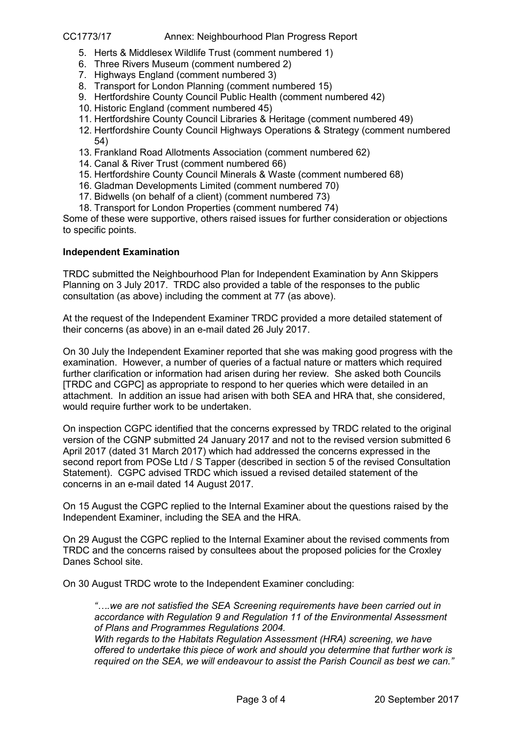### CC1773/17 Annex: Neighbourhood Plan Progress Report

- 5. Herts & Middlesex Wildlife Trust (comment numbered 1)
- 6. Three Rivers Museum (comment numbered 2)
- 7. Highways England (comment numbered 3)
- 8. Transport for London Planning (comment numbered 15)
- 9. Hertfordshire County Council Public Health (comment numbered 42)
- 10. Historic England (comment numbered 45)
- 11. Hertfordshire County Council Libraries & Heritage (comment numbered 49)
- 12. Hertfordshire County Council Highways Operations & Strategy (comment numbered 54)
- 13. Frankland Road Allotments Association (comment numbered 62)
- 14. Canal & River Trust (comment numbered 66)
- 15. Hertfordshire County Council Minerals & Waste (comment numbered 68)
- 16. Gladman Developments Limited (comment numbered 70)
- 17. Bidwells (on behalf of a client) (comment numbered 73)
- 18. Transport for London Properties (comment numbered 74)

Some of these were supportive, others raised issues for further consideration or objections to specific points.

### **Independent Examination**

TRDC submitted the Neighbourhood Plan for Independent Examination by Ann Skippers Planning on 3 July 2017. TRDC also provided a table of the responses to the public consultation (as above) including the comment at 77 (as above).

At the request of the Independent Examiner TRDC provided a more detailed statement of their concerns (as above) in an e-mail dated 26 July 2017.

On 30 July the Independent Examiner reported that she was making good progress with the examination. However, a number of queries of a factual nature or matters which required further clarification or information had arisen during her review. She asked both Councils [TRDC and CGPC] as appropriate to respond to her queries which were detailed in an attachment. In addition an issue had arisen with both SEA and HRA that, she considered, would require further work to be undertaken.

On inspection CGPC identified that the concerns expressed by TRDC related to the original version of the CGNP submitted 24 January 2017 and not to the revised version submitted 6 April 2017 (dated 31 March 2017) which had addressed the concerns expressed in the second report from POSe Ltd / S Tapper (described in section 5 of the revised Consultation Statement). CGPC advised TRDC which issued a revised detailed statement of the concerns in an e-mail dated 14 August 2017.

On 15 August the CGPC replied to the Internal Examiner about the questions raised by the Independent Examiner, including the SEA and the HRA.

On 29 August the CGPC replied to the Internal Examiner about the revised comments from TRDC and the concerns raised by consultees about the proposed policies for the Croxley Danes School site.

On 30 August TRDC wrote to the Independent Examiner concluding:

*"….we are not satisfied the SEA Screening requirements have been carried out in accordance with Regulation 9 and Regulation 11 of the Environmental Assessment of Plans and Programmes Regulations 2004.* 

*With regards to the Habitats Regulation Assessment (HRA) screening, we have offered to undertake this piece of work and should you determine that further work is required on the SEA, we will endeavour to assist the Parish Council as best we can."*